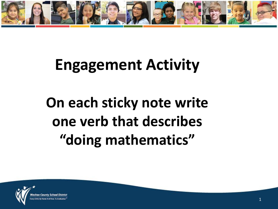

### **Engagement Activity**

## **On each sticky note write one verb that describes "doing mathematics"**

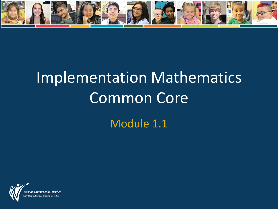

# Implementation Mathematics Common Core Module 1.1

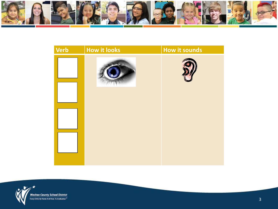



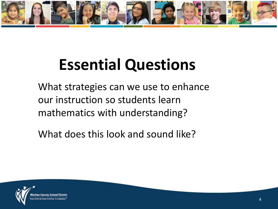

# **Essential Questions**

What strategies can we use to enhance our instruction so students learn mathematics with understanding?

What does this look and sound like?

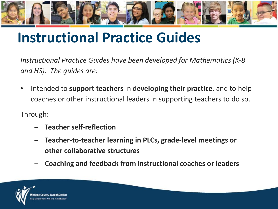

### **Instructional Practice Guides**

*Instructional Practice Guides have been developed for Mathematics (K-8 and HS). The guides are:*

• Intended to **support teachers** in **developing their practice**, and to help coaches or other instructional leaders in supporting teachers to do so.

Through:

- ‒ **Teacher self-reflection**
- ‒ **Teacher-to-teacher learning in PLCs, grade-level meetings or other collaborative structures**
- ‒ **Coaching and feedback from instructional coaches or leaders**

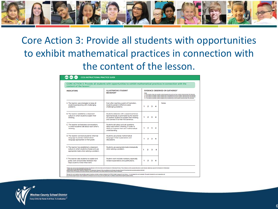

#### Core Action 3: Provide all students with opportunities to exhibit mathematical practices in connection with the content of the lesson.

| content of the lesson. <sup>2</sup>                                                                                                 |                                                                                                                                                                                    |    |                                                                                                                                                                                                                                                                                                                                                                                                                                                                                                       |                  |                  |        |  |
|-------------------------------------------------------------------------------------------------------------------------------------|------------------------------------------------------------------------------------------------------------------------------------------------------------------------------------|----|-------------------------------------------------------------------------------------------------------------------------------------------------------------------------------------------------------------------------------------------------------------------------------------------------------------------------------------------------------------------------------------------------------------------------------------------------------------------------------------------------------|------------------|------------------|--------|--|
| <b>INDICATORS</b>                                                                                                                   | <b>ILLUSTRATIVE STUDENT</b><br><b>BEHAVIOR</b> <sup>3</sup>                                                                                                                        |    | <b>EVIDENCE OBSERVED OR GATHERED<sup>4</sup></b><br>Seater<br>1 - The teacher does not provide students opportunity and very few students demonstrate this behavior.<br>2 = The teacher provides students opportunity inconsistently and few students demonstrate this behavior.<br>3 - The teacher provides students opportunity consistently and some students demonstrate this behavior.<br>4 . The teacher provides students opportunity consistently and all students demonstrate this behavior. |                  |                  |        |  |
| A. The teacher uses strategies to keep all<br>students persevering with challenging<br>problems.                                    | Even after reaching a point of frustration,<br>students persist in efforts to solve<br>challenging problems.                                                                       | 1. | $\overline{2}$                                                                                                                                                                                                                                                                                                                                                                                                                                                                                        | $\mathbf{3}$     | $\boldsymbol{A}$ | Notes: |  |
| B. The teacher establishes a classroom<br>culture in which students explain their<br>thinking.                                      | Students elaborate with a second sentence<br>(spontaneously or prompted by the teacher<br>or another student) to explain their thinking<br>and connect it to their first sentence. | 1. |                                                                                                                                                                                                                                                                                                                                                                                                                                                                                                       | $2 \overline{3}$ | 4                |        |  |
| C. The teacher orchestrates conversations<br>in which students talk about each other's<br>thinking.                                 | Students talk about and ask questions<br>about each other's thinking, in order to<br>clarify or improve their own mathematical<br>understanding.                                   | 1. | $\overline{2}$                                                                                                                                                                                                                                                                                                                                                                                                                                                                                        | $\mathbf{3}$     | $\boldsymbol{A}$ |        |  |
| D. The teacher connects students' informal<br>language to precise mathematical<br>language appropriate to their grade.              | Students use precise mathematical<br>language in their explanations and<br>discussions.                                                                                            | 1. | $\overline{2}$                                                                                                                                                                                                                                                                                                                                                                                                                                                                                        | 3                | $\boldsymbol{A}$ |        |  |
| E. The teacher has established a classroom<br>culture in which students choose and use<br>appropriate tools when solving a problem. | Students use appropriate tools strategically<br>when solving a problem.                                                                                                            | 1  | 2                                                                                                                                                                                                                                                                                                                                                                                                                                                                                                     | 3                | 4                |        |  |
| F. The teacher asks students to explain and<br>justify work and provides feedback that<br>helps students revise initial work.       | Student work includes revisions, especially<br>revised explanations and justifications.                                                                                            | 1  | $\overline{ }$                                                                                                                                                                                                                                                                                                                                                                                                                                                                                        | з                | 4                |        |  |

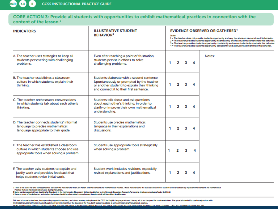CORE ACTION 3: Provide all students with opportunities to exhibit mathematical practices in connection with the content of the lesson.<sup>2</sup>

| <b>INDICATORS</b>                                                                                                                   | <b>ILLUSTRATIVE STUDENT</b><br><b>BEHAVIOR</b> <sup>3</sup>                                                                                                                        | <b>EVIDENCE OBSERVED OR GATHERED<sup>4</sup></b><br>Scale:<br>1 - The teacher does not provide students opportunity and very few students demonstrate this behavior.<br>2 . The teacher provides students opportunity inconsistently and few students demonstrate this behavior.<br>3 = The teacher provides students opportunity consistently and some students demonstrate this behavior.<br>4 . The teacher provides students opportunity consistently and all students demonstrate this behavior. |                |   |   |        |  |
|-------------------------------------------------------------------------------------------------------------------------------------|------------------------------------------------------------------------------------------------------------------------------------------------------------------------------------|-------------------------------------------------------------------------------------------------------------------------------------------------------------------------------------------------------------------------------------------------------------------------------------------------------------------------------------------------------------------------------------------------------------------------------------------------------------------------------------------------------|----------------|---|---|--------|--|
| A. The teacher uses strategies to keep all<br>students persevering with challenging<br>problems.                                    | Even after reaching a point of frustration,<br>students persist in efforts to solve<br>challenging problems.                                                                       |                                                                                                                                                                                                                                                                                                                                                                                                                                                                                                       | 2              | 3 | 4 | Notes: |  |
| B. The teacher establishes a classroom<br>culture in which students explain their<br>thinking.                                      | Students elaborate with a second sentence<br>(spontaneously or prompted by the teacher<br>or another student) to explain their thinking<br>and connect it to their first sentence. | 1.                                                                                                                                                                                                                                                                                                                                                                                                                                                                                                    | 2              | 3 |   |        |  |
| C. The teacher orchestrates conversations<br>in which students talk about each other's<br>thinking.                                 | Students talk about and ask questions<br>about each other's thinking, in order to<br>clarify or improve their own mathematical<br>understanding.                                   |                                                                                                                                                                                                                                                                                                                                                                                                                                                                                                       | 2              | з |   |        |  |
| D. The teacher connects students' informal<br>language to precise mathematical<br>language appropriate to their grade.              | Students use precise mathematical<br>language in their explanations and<br>discussions.                                                                                            |                                                                                                                                                                                                                                                                                                                                                                                                                                                                                                       | $\overline{2}$ | 3 | 4 |        |  |
| E. The teacher has established a classroom<br>culture in which students choose and use<br>appropriate tools when solving a problem. | Students use appropriate tools strategically<br>when solving a problem.                                                                                                            | 1                                                                                                                                                                                                                                                                                                                                                                                                                                                                                                     | 2              | з | 4 |        |  |
| F. The teacher asks students to explain and<br>justify work and provides feedback that<br>helps students revise initial work.       | Student work includes revisions, especially<br>revised explanations and justifications.                                                                                            | 1.                                                                                                                                                                                                                                                                                                                                                                                                                                                                                                    | 2              | 3 |   |        |  |

2 There is not a one-to-one correspondence between the indicators for this Core Action and the Standards for Mathematical Practice. These indicators and the associated illustrative student behavior collectively represent t Practice that are most easily observable during instruction.

3 Some portions adapted from 'Looking for Standards in the Mathematics Classroom' Sell card published by the Strategic Education Research Partnership (math.serpmedia.org/tools\_Sv&Jttml)

4 Some or most of the indicators and student behaviors should be observable in every lesson, though not all will be evident in all lessons.

This tool is for use by teachers, those providing support to teachers, and others working to implement the CCSS for English Language Arts and Liberacy - it is not designed for use in evaluation. The guide is intended for u the CCSS Instructional Practice Guide: Supplement for Reflection Over the Course of the Year. Both tools are available at achievethecore.org/instructional-practice.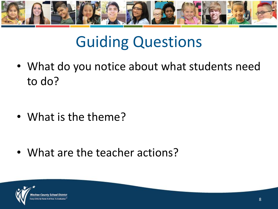

### Guiding Questions

• What do you notice about what students need to do?

• What is the theme?

• What are the teacher actions?

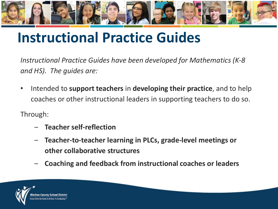

### **Instructional Practice Guides**

*Instructional Practice Guides have been developed for Mathematics (K-8 and HS). The guides are:*

• Intended to **support teachers** in **developing their practice**, and to help coaches or other instructional leaders in supporting teachers to do so.

Through:

- ‒ **Teacher self-reflection**
- ‒ **Teacher-to-teacher learning in PLCs, grade-level meetings or other collaborative structures**
- ‒ **Coaching and feedback from instructional coaches or leaders**

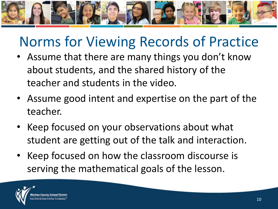

### Norms for Viewing Records of Practice

- Assume that there are many things you don't know about students, and the shared history of the teacher and students in the video.
- Assume good intent and expertise on the part of the teacher.
- Keep focused on your observations about what student are getting out of the talk and interaction.
- Keep focused on how the classroom discourse is serving the mathematical goals of the lesson.

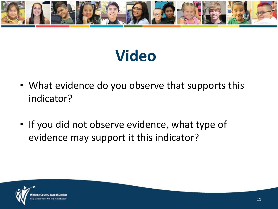

## **Video**

- What evidence do you observe that supports this indicator?
- If you did not observe evidence, what type of evidence may support it this indicator?

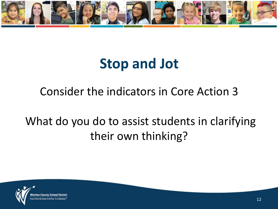

### **Stop and Jot**

#### Consider the indicators in Core Action 3

#### What do you do to assist students in clarifying their own thinking?

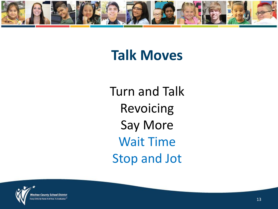

### **Talk Moves**

Turn and Talk Revoicing Say More Wait Time Stop and Jot

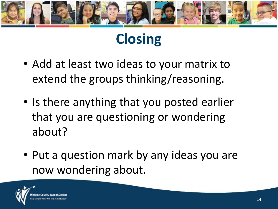

### **Closing**

- Add at least two ideas to your matrix to extend the groups thinking/reasoning.
- Is there anything that you posted earlier that you are questioning or wondering about?
- Put a question mark by any ideas you are now wondering about.

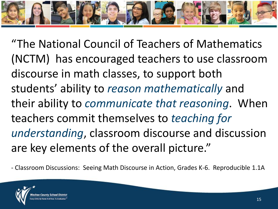

"The National Council of Teachers of Mathematics (NCTM) has encouraged teachers to use classroom discourse in math classes, to support both students' ability to *reason mathematically* and their ability to *communicate that reasoning*. When teachers commit themselves to *teaching for understanding*, classroom discourse and discussion are key elements of the overall picture."

- Classroom Discussions: Seeing Math Discourse in Action, Grades K-6. Reproducible 1.1A